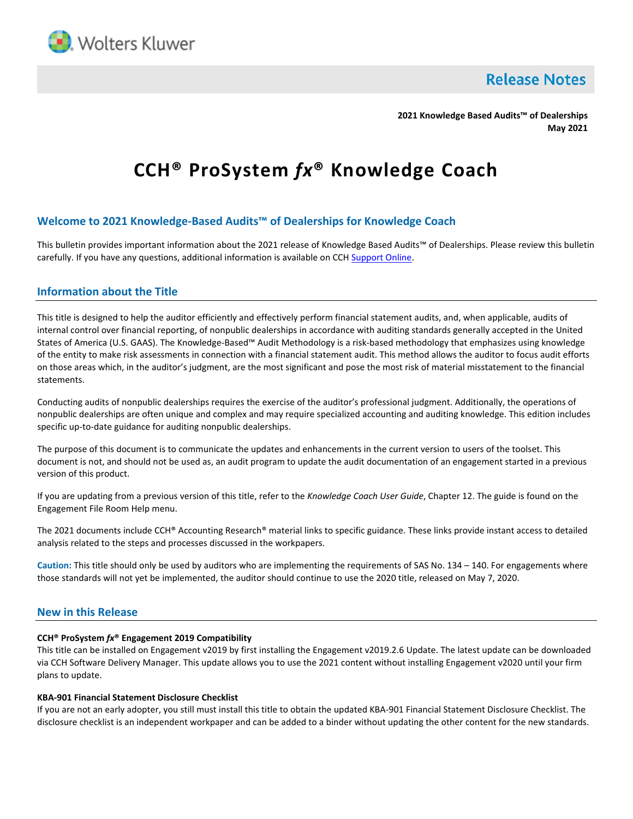

**Release Notes** 

**2021 Knowledge Based Audits™ of Dealerships May 2021**

# **CCH® ProSystem** *fx***® Knowledge Coach**

# **Welcome to 2021 Knowledge-Based Audits™ of Dealerships for Knowledge Coach**

This bulletin provides important information about the 2021 release of Knowledge Based Audits™ of Dealerships. Please review this bulletin carefully. If you have any questions, additional information is available on CCH [Support Online.](http://support.cch.com/productsupport/)

# **Information about the Title**

This title is designed to help the auditor efficiently and effectively perform financial statement audits, and, when applicable, audits of internal control over financial reporting, of nonpublic dealerships in accordance with auditing standards generally accepted in the United States of America (U.S. GAAS). The Knowledge-Based™ Audit Methodology is a risk-based methodology that emphasizes using knowledge of the entity to make risk assessments in connection with a financial statement audit. This method allows the auditor to focus audit efforts on those areas which, in the auditor's judgment, are the most significant and pose the most risk of material misstatement to the financial statements.

Conducting audits of nonpublic dealerships requires the exercise of the auditor's professional judgment. Additionally, the operations of nonpublic dealerships are often unique and complex and may require specialized accounting and auditing knowledge. This edition includes specific up-to-date guidance for auditing nonpublic dealerships.

The purpose of this document is to communicate the updates and enhancements in the current version to users of the toolset. This document is not, and should not be used as, an audit program to update the audit documentation of an engagement started in a previous version of this product.

If you are updating from a previous version of this title, refer to the *Knowledge Coach User Guide*, Chapter 12. The guide is found on the Engagement File Room Help menu.

The 2021 documents include CCH® Accounting Research® material links to specific guidance. These links provide instant access to detailed analysis related to the steps and processes discussed in the workpapers.

**Caution:** This title should only be used by auditors who are implementing the requirements of SAS No. 134 – 140. For engagements where those standards will not yet be implemented, the auditor should continue to use the 2020 title, released on May 7, 2020.

## **New in this Release**

#### **CCH® ProSystem** *fx***® Engagement 2019 Compatibility**

This title can be installed on Engagement v2019 by first installing the Engagement v2019.2.6 Update. The latest update can be downloaded via CCH Software Delivery Manager. This update allows you to use the 2021 content without installing Engagement v2020 until your firm plans to update.

#### **KBA-901 Financial Statement Disclosure Checklist**

If you are not an early adopter, you still must install this title to obtain the updated KBA-901 Financial Statement Disclosure Checklist. The disclosure checklist is an independent workpaper and can be added to a binder without updating the other content for the new standards.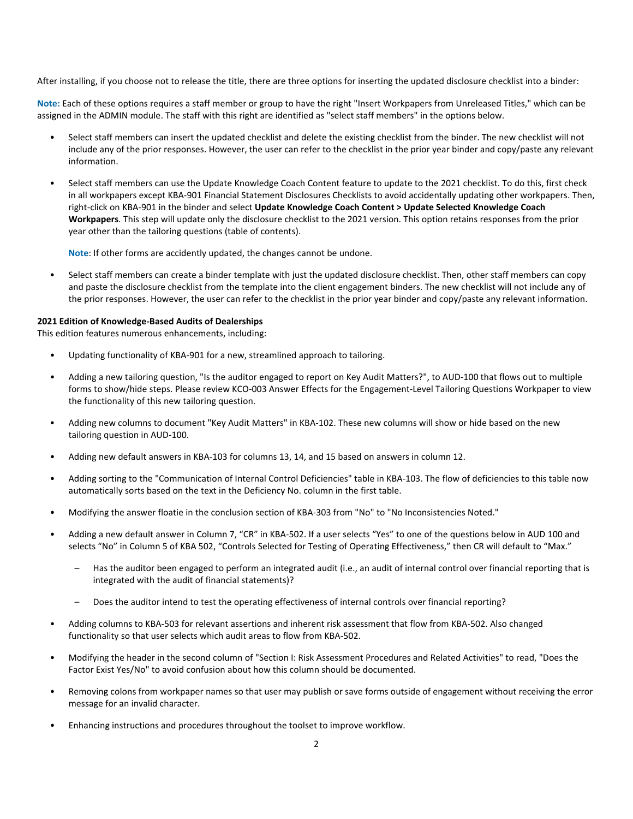After installing, if you choose not to release the title, there are three options for inserting the updated disclosure checklist into a binder:

**Note:** Each of these options requires a staff member or group to have the right "Insert Workpapers from Unreleased Titles," which can be assigned in the ADMIN module. The staff with this right are identified as "select staff members" in the options below.

- Select staff members can insert the updated checklist and delete the existing checklist from the binder. The new checklist will not include any of the prior responses. However, the user can refer to the checklist in the prior year binder and copy/paste any relevant information.
- Select staff members can use the Update Knowledge Coach Content feature to update to the 2021 checklist. To do this, first check in all workpapers except KBA-901 Financial Statement Disclosures Checklists to avoid accidentally updating other workpapers. Then, right-click on KBA-901 in the binder and select **Update Knowledge Coach Content > Update Selected Knowledge Coach Workpapers**. This step will update only the disclosure checklist to the 2021 version. This option retains responses from the prior year other than the tailoring questions (table of contents).

**Note**: If other forms are accidently updated, the changes cannot be undone.

• Select staff members can create a binder template with just the updated disclosure checklist. Then, other staff members can copy and paste the disclosure checklist from the template into the client engagement binders. The new checklist will not include any of the prior responses. However, the user can refer to the checklist in the prior year binder and copy/paste any relevant information.

#### **2021 Edition of Knowledge-Based Audits of Dealerships**

This edition features numerous enhancements, including:

- Updating functionality of KBA-901 for a new, streamlined approach to tailoring.
- Adding a new tailoring question, "Is the auditor engaged to report on Key Audit Matters?", to AUD-100 that flows out to multiple forms to show/hide steps. Please review KCO-003 Answer Effects for the Engagement-Level Tailoring Questions Workpaper to view the functionality of this new tailoring question.
- Adding new columns to document "Key Audit Matters" in KBA-102. These new columns will show or hide based on the new tailoring question in AUD-100.
- Adding new default answers in KBA-103 for columns 13, 14, and 15 based on answers in column 12.
- Adding sorting to the "Communication of Internal Control Deficiencies" table in KBA-103. The flow of deficiencies to this table now automatically sorts based on the text in the Deficiency No. column in the first table.
- Modifying the answer floatie in the conclusion section of KBA-303 from "No" to "No Inconsistencies Noted."
- Adding a new default answer in Column 7, "CR" in KBA-502. If a user selects "Yes" to one of the questions below in AUD 100 and selects "No" in Column 5 of KBA 502, "Controls Selected for Testing of Operating Effectiveness," then CR will default to "Max."
	- Has the auditor been engaged to perform an integrated audit (i.e., an audit of internal control over financial reporting that is integrated with the audit of financial statements)?
	- Does the auditor intend to test the operating effectiveness of internal controls over financial reporting?
- Adding columns to KBA-503 for relevant assertions and inherent risk assessment that flow from KBA-502. Also changed functionality so that user selects which audit areas to flow from KBA-502.
- Modifying the header in the second column of "Section I: Risk Assessment Procedures and Related Activities" to read, "Does the Factor Exist Yes/No" to avoid confusion about how this column should be documented.
- Removing colons from workpaper names so that user may publish or save forms outside of engagement without receiving the error message for an invalid character.
- Enhancing instructions and procedures throughout the toolset to improve workflow.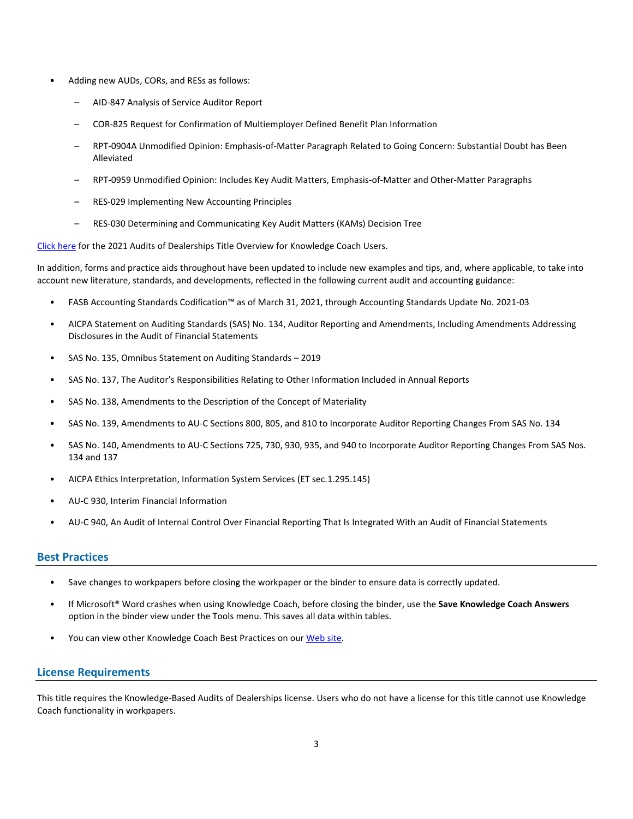- Adding new AUDs, CORs, and RESs as follows:
	- AID-847 Analysis of Service Auditor Report
	- COR-825 Request for Confirmation of Multiemployer Defined Benefit Plan Information
	- RPT-0904A Unmodified Opinion: Emphasis-of-Matter Paragraph Related to Going Concern: Substantial Doubt has Been Alleviated
	- RPT-0959 Unmodified Opinion: Includes Key Audit Matters, Emphasis-of-Matter and Other-Matter Paragraphs
	- RES-029 Implementing New Accounting Principles
	- RES-030 Determining and Communicating Key Audit Matters (KAMs) Decision Tree

[Click here](http://support.cch.com/updates/KnowledgeCoach/pdf/guides_tab/2021%20Dealerships%20Audit%20Title%20Overview%20for%20Knowledge%20Coach%20Users.pdf) for the 2021 Audits of Dealerships Title Overview for Knowledge Coach Users.

In addition, forms and practice aids throughout have been updated to include new examples and tips, and, where applicable, to take into account new literature, standards, and developments, reflected in the following current audit and accounting guidance:

- FASB Accounting Standards Codification™ as of March 31, 2021, through Accounting Standards Update No. 2021-03
- AICPA Statement on Auditing Standards (SAS) No. 134, Auditor Reporting and Amendments, Including Amendments Addressing Disclosures in the Audit of Financial Statements
- SAS No. 135, Omnibus Statement on Auditing Standards 2019
- SAS No. 137, The Auditor's Responsibilities Relating to Other Information Included in Annual Reports
- SAS No. 138, Amendments to the Description of the Concept of Materiality
- SAS No. 139, Amendments to AU-C Sections 800, 805, and 810 to Incorporate Auditor Reporting Changes From SAS No. 134
- SAS No. 140, Amendments to AU-C Sections 725, 730, 930, 935, and 940 to Incorporate Auditor Reporting Changes From SAS Nos. 134 and 137
- AICPA Ethics Interpretation, Information System Services (ET sec.1.295.145)
- AU-C 930, Interim Financial Information
- AU-C 940, An Audit of Internal Control Over Financial Reporting That Is Integrated With an Audit of Financial Statements

# **Best Practices**

- Save changes to workpapers before closing the workpaper or the binder to ensure data is correctly updated.
- If Microsoft® Word crashes when using Knowledge Coach, before closing the binder, use the **Save Knowledge Coach Answers** option in the binder view under the Tools menu. This saves all data within tables.
- You can view other Knowledge Coach Best Practices on ou[r Web](https://support.cch.com/kb/solution/000034942/sw34947) site.

## **License Requirements**

This title requires the Knowledge-Based Audits of Dealerships license. Users who do not have a license for this title cannot use Knowledge Coach functionality in workpapers.